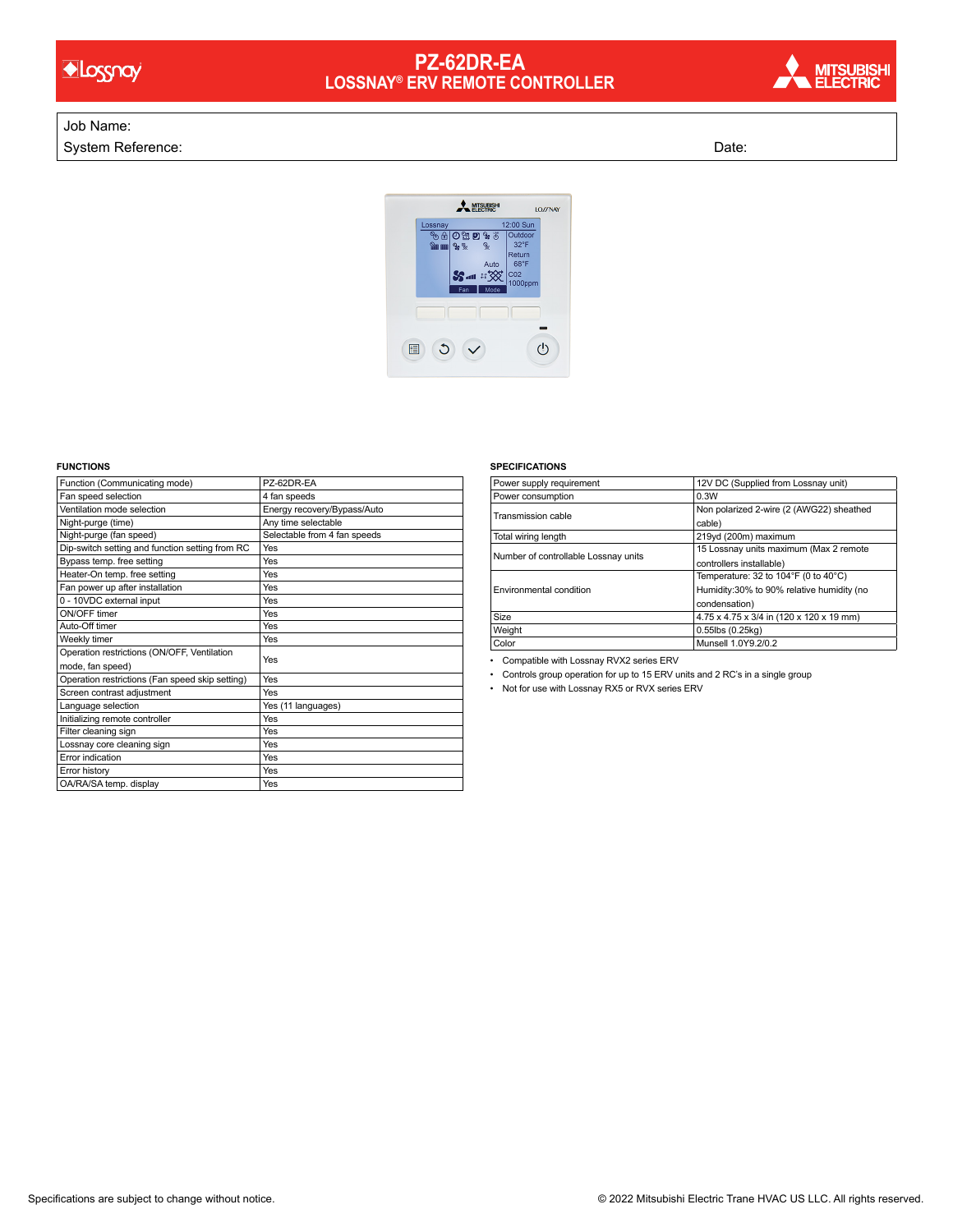

## **PZ-62DR-EA LOSSNAY® ERV REMOTE CONTROLLER**



## Job Name:

System Reference: Date: Date: Date: Date: Date: Date: Date: Date: Date: Date: Date: Date: Date: Date: Date: Date: Date: Date: Date: Date: Date: Date: Date: Date: Date: Date: Date: Date: Date: Date: Date: Date: Date: Date:



## **FUNCTIONS**

| Function (Communicating mode)                   | PZ-62DR-EA                   |
|-------------------------------------------------|------------------------------|
| Fan speed selection                             | 4 fan speeds                 |
| Ventilation mode selection                      | Energy recovery/Bypass/Auto  |
| Night-purge (time)                              | Any time selectable          |
| Night-purge (fan speed)                         | Selectable from 4 fan speeds |
| Dip-switch setting and function setting from RC | Yes                          |
| Bypass temp. free setting                       | Yes                          |
| Heater-On temp. free setting                    | Yes                          |
| Fan power up after installation                 | Yes                          |
| 0 - 10VDC external input                        | Yes                          |
| ON/OFF timer                                    | Yes                          |
| Auto-Off timer                                  | Yes                          |
| Weekly timer                                    | Yes                          |
| Operation restrictions (ON/OFF, Ventilation     | Yes                          |
| mode, fan speed)                                |                              |
| Operation restrictions (Fan speed skip setting) | Yes                          |
| Screen contrast adjustment                      | Yes                          |
| Language selection                              | Yes (11 languages)           |
| Initializing remote controller                  | Yes                          |
| Filter cleaning sign                            | Yes                          |
| Lossnay core cleaning sign                      | Yes                          |
| Error indication                                | Yes                          |
| Error history                                   | Yes                          |
| OA/RA/SA temp. display                          | Yes                          |

## **SPECIFICATIONS**

| Power supply requirement             | 12V DC (Supplied from Lossnay unit)                  |
|--------------------------------------|------------------------------------------------------|
| Power consumption                    | 0.3W                                                 |
| Transmission cable                   | Non polarized 2-wire (2 (AWG22) sheathed             |
|                                      | cable)                                               |
| Total wiring length                  | 219yd (200m) maximum                                 |
| Number of controllable Lossnay units | 15 Lossnay units maximum (Max 2 remote               |
|                                      | controllers installable)                             |
| Environmental condition              | Temperature: 32 to $104^\circ$ F (0 to $40^\circ$ C) |
|                                      | Humidity:30% to 90% relative humidity (no            |
|                                      | condensation)                                        |
| <b>Size</b>                          | 4.75 x 4.75 x 3/4 in (120 x 120 x 19 mm)             |
| Weight                               | 0.55lbs (0.25kg)                                     |
| Color                                | Munsell 1.0Y9.2/0.2                                  |

• Compatible with Lossnay RVX2 series ERV

• Controls group operation for up to 15 ERV units and 2 RC's in a single group

• Not for use with Lossnay RX5 or RVX series ERV